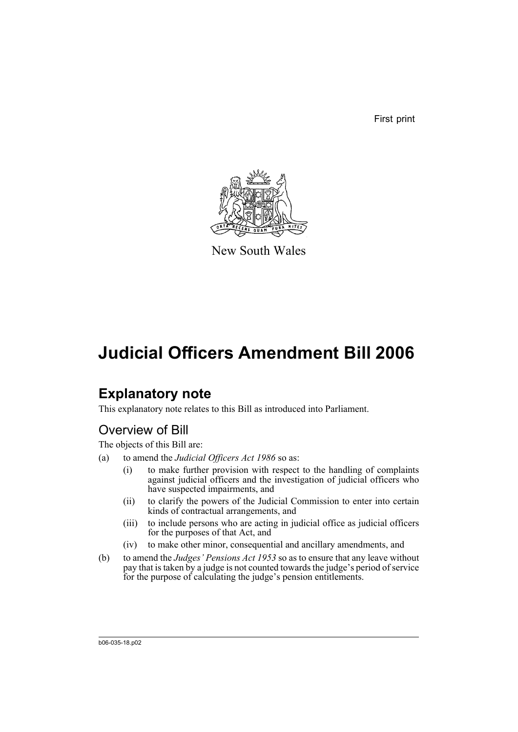First print



New South Wales

# **Judicial Officers Amendment Bill 2006**

# **Explanatory note**

This explanatory note relates to this Bill as introduced into Parliament.

## Overview of Bill

The objects of this Bill are:

- (a) to amend the *Judicial Officers Act 1986* so as:
	- (i) to make further provision with respect to the handling of complaints against judicial officers and the investigation of judicial officers who have suspected impairments, and
	- (ii) to clarify the powers of the Judicial Commission to enter into certain kinds of contractual arrangements, and
	- (iii) to include persons who are acting in judicial office as judicial officers for the purposes of that Act, and
	- (iv) to make other minor, consequential and ancillary amendments, and
- (b) to amend the *Judges' Pensions Act 1953* so as to ensure that any leave without pay that is taken by a judge is not counted towards the judge's period of service for the purpose of calculating the judge's pension entitlements.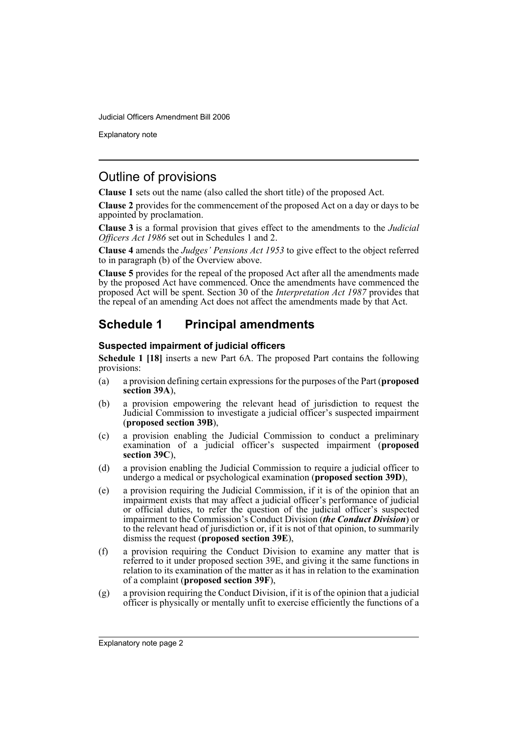Explanatory note

### Outline of provisions

**Clause 1** sets out the name (also called the short title) of the proposed Act.

**Clause 2** provides for the commencement of the proposed Act on a day or days to be appointed by proclamation.

**Clause 3** is a formal provision that gives effect to the amendments to the *Judicial Officers Act 1986* set out in Schedules 1 and 2.

**Clause 4** amends the *Judges' Pensions Act 1953* to give effect to the object referred to in paragraph (b) of the Overview above.

**Clause 5** provides for the repeal of the proposed Act after all the amendments made by the proposed Act have commenced. Once the amendments have commenced the proposed Act will be spent. Section 30 of the *Interpretation Act 1987* provides that the repeal of an amending Act does not affect the amendments made by that Act.

### **Schedule 1 Principal amendments**

#### **Suspected impairment of judicial officers**

**Schedule 1 [18]** inserts a new Part 6A. The proposed Part contains the following provisions:

- (a) a provision defining certain expressions for the purposes of the Part (**proposed section 39A**),
- (b) a provision empowering the relevant head of jurisdiction to request the Judicial Commission to investigate a judicial officer's suspected impairment (**proposed section 39B**),
- (c) a provision enabling the Judicial Commission to conduct a preliminary examination of a judicial officer's suspected impairment (**proposed section 39C**),
- (d) a provision enabling the Judicial Commission to require a judicial officer to undergo a medical or psychological examination (**proposed section 39D**),
- (e) a provision requiring the Judicial Commission, if it is of the opinion that an impairment exists that may affect a judicial officer's performance of judicial or official duties, to refer the question of the judicial officer's suspected impairment to the Commission's Conduct Division (*the Conduct Division*) or to the relevant head of jurisdiction or, if it is not of that opinion, to summarily dismiss the request (**proposed section 39E**),
- (f) a provision requiring the Conduct Division to examine any matter that is referred to it under proposed section 39E, and giving it the same functions in relation to its examination of the matter as it has in relation to the examination of a complaint (**proposed section 39F**),
- (g) a provision requiring the Conduct Division, if it is of the opinion that a judicial officer is physically or mentally unfit to exercise efficiently the functions of a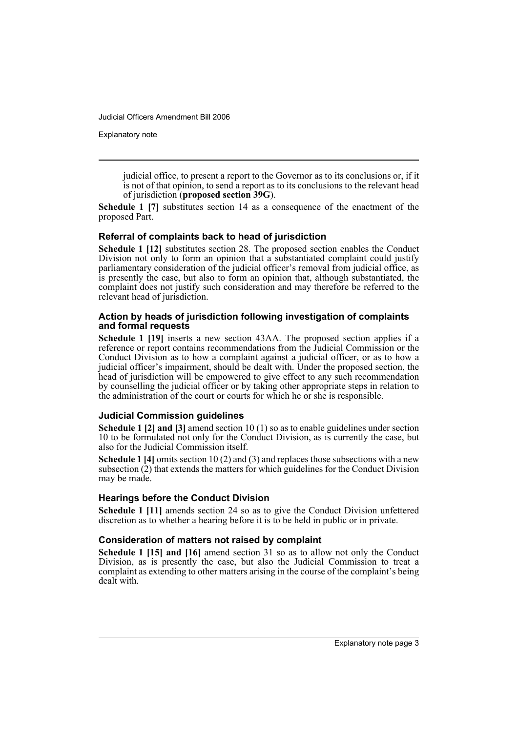Explanatory note

judicial office, to present a report to the Governor as to its conclusions or, if it is not of that opinion, to send a report as to its conclusions to the relevant head of jurisdiction (**proposed section 39G**).

**Schedule 1 [7]** substitutes section 14 as a consequence of the enactment of the proposed Part.

#### **Referral of complaints back to head of jurisdiction**

**Schedule 1 [12]** substitutes section 28. The proposed section enables the Conduct Division not only to form an opinion that a substantiated complaint could justify parliamentary consideration of the judicial officer's removal from judicial office, as is presently the case, but also to form an opinion that, although substantiated, the complaint does not justify such consideration and may therefore be referred to the relevant head of jurisdiction.

#### **Action by heads of jurisdiction following investigation of complaints and formal requests**

**Schedule 1 [19]** inserts a new section 43AA. The proposed section applies if a reference or report contains recommendations from the Judicial Commission or the Conduct Division as to how a complaint against a judicial officer, or as to how a judicial officer's impairment, should be dealt with. Under the proposed section, the head of jurisdiction will be empowered to give effect to any such recommendation by counselling the judicial officer or by taking other appropriate steps in relation to the administration of the court or courts for which he or she is responsible.

#### **Judicial Commission guidelines**

**Schedule 1 [2] and [3]** amend section 10 (1) so as to enable guidelines under section 10 to be formulated not only for the Conduct Division, as is currently the case, but also for the Judicial Commission itself.

**Schedule 1 [4]** omits section 10 (2) and (3) and replaces those subsections with a new subsection (2) that extends the matters for which guidelines for the Conduct Division may be made.

#### **Hearings before the Conduct Division**

**Schedule 1 [11]** amends section 24 so as to give the Conduct Division unfettered discretion as to whether a hearing before it is to be held in public or in private.

#### **Consideration of matters not raised by complaint**

**Schedule 1 [15] and [16]** amend section 31 so as to allow not only the Conduct Division, as is presently the case, but also the Judicial Commission to treat a complaint as extending to other matters arising in the course of the complaint's being dealt with.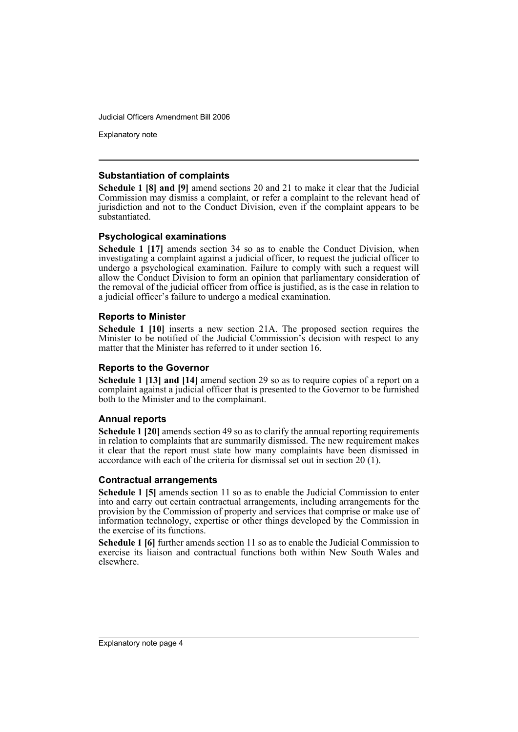Explanatory note

#### **Substantiation of complaints**

**Schedule 1 [8] and [9]** amend sections 20 and 21 to make it clear that the Judicial Commission may dismiss a complaint, or refer a complaint to the relevant head of jurisdiction and not to the Conduct Division, even if the complaint appears to be substantiated.

#### **Psychological examinations**

**Schedule 1 [17]** amends section 34 so as to enable the Conduct Division, when investigating a complaint against a judicial officer, to request the judicial officer to undergo a psychological examination. Failure to comply with such a request will allow the Conduct Division to form an opinion that parliamentary consideration of the removal of the judicial officer from office is justified, as is the case in relation to a judicial officer's failure to undergo a medical examination.

#### **Reports to Minister**

**Schedule 1 [10]** inserts a new section 21A. The proposed section requires the Minister to be notified of the Judicial Commission's decision with respect to any matter that the Minister has referred to it under section 16.

#### **Reports to the Governor**

**Schedule 1 [13] and [14]** amend section 29 so as to require copies of a report on a complaint against a judicial officer that is presented to the Governor to be furnished both to the Minister and to the complainant.

#### **Annual reports**

**Schedule 1 [20]** amends section 49 so as to clarify the annual reporting requirements in relation to complaints that are summarily dismissed. The new requirement makes it clear that the report must state how many complaints have been dismissed in accordance with each of the criteria for dismissal set out in section 20 (1).

#### **Contractual arrangements**

**Schedule 1 [5]** amends section 11 so as to enable the Judicial Commission to enter into and carry out certain contractual arrangements, including arrangements for the provision by the Commission of property and services that comprise or make use of information technology, expertise or other things developed by the Commission in the exercise of its functions.

**Schedule 1 [6]** further amends section 11 so as to enable the Judicial Commission to exercise its liaison and contractual functions both within New South Wales and elsewhere.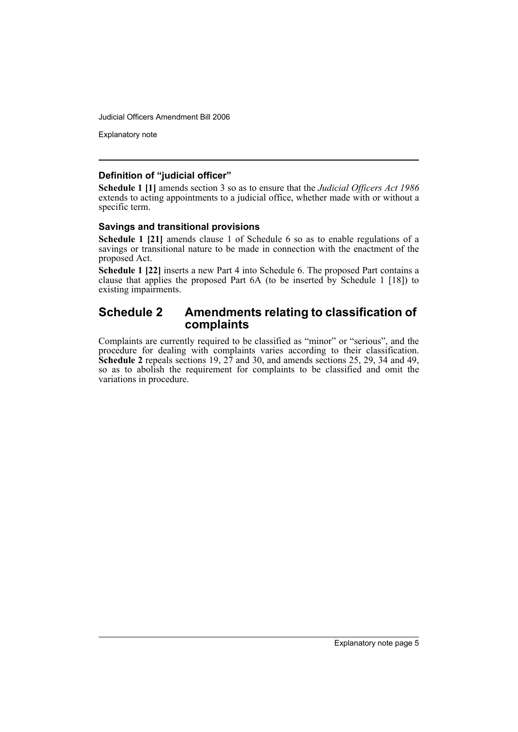Explanatory note

#### **Definition of "judicial officer"**

**Schedule 1 [1]** amends section 3 so as to ensure that the *Judicial Officers Act 1986* extends to acting appointments to a judicial office, whether made with or without a specific term.

#### **Savings and transitional provisions**

**Schedule 1 [21]** amends clause 1 of Schedule 6 so as to enable regulations of a savings or transitional nature to be made in connection with the enactment of the proposed Act.

**Schedule 1 [22]** inserts a new Part 4 into Schedule 6. The proposed Part contains a clause that applies the proposed Part 6A (to be inserted by Schedule 1 [18]) to existing impairments.

#### **Schedule 2 Amendments relating to classification of complaints**

Complaints are currently required to be classified as "minor" or "serious", and the procedure for dealing with complaints varies according to their classification. **Schedule 2** repeals sections 19, 27 and 30, and amends sections 25, 29, 34 and 49, so as to abolish the requirement for complaints to be classified and omit the variations in procedure.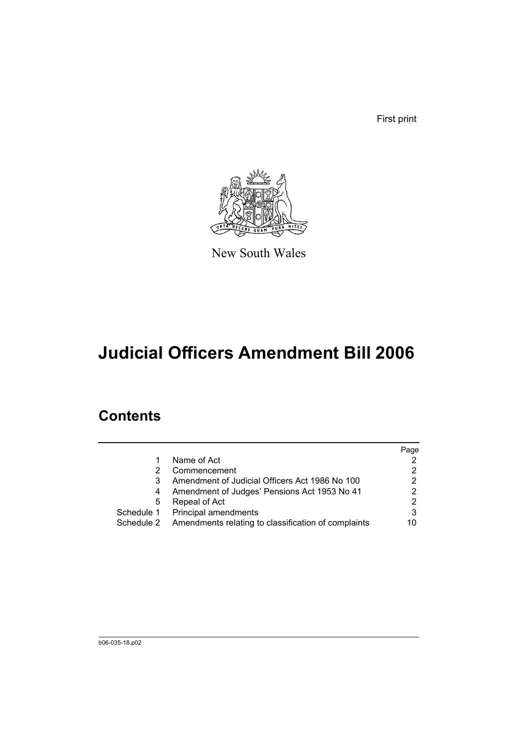First print



New South Wales

# **Judicial Officers Amendment Bill 2006**

## **Contents**

|   |                                                                | Page |
|---|----------------------------------------------------------------|------|
|   | Name of Act                                                    |      |
|   | Commencement                                                   | 2    |
| 3 | Amendment of Judicial Officers Act 1986 No 100                 | 2    |
|   | Amendment of Judges' Pensions Act 1953 No 41                   |      |
| 5 | Repeal of Act                                                  | 2    |
|   | Schedule 1 Principal amendments                                | 3    |
|   | Schedule 2 Amendments relating to classification of complaints | 10   |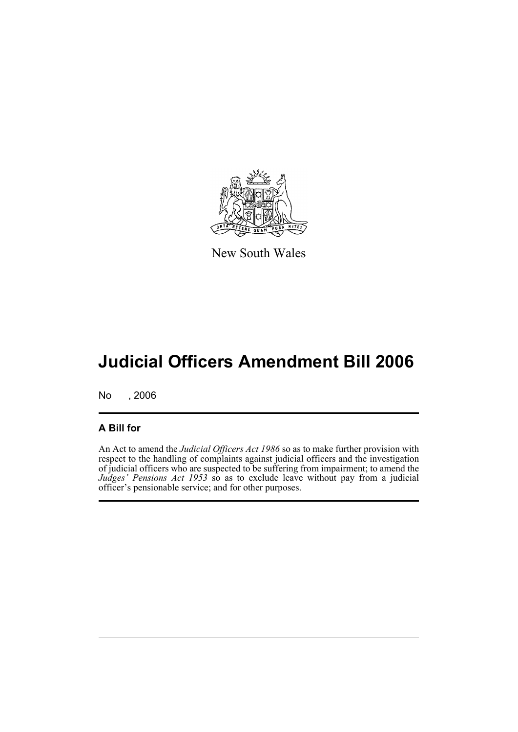

New South Wales

# **Judicial Officers Amendment Bill 2006**

No , 2006

#### **A Bill for**

An Act to amend the *Judicial Officers Act 1986* so as to make further provision with respect to the handling of complaints against judicial officers and the investigation of judicial officers who are suspected to be suffering from impairment; to amend the *Judges' Pensions Act 1953* so as to exclude leave without pay from a judicial officer's pensionable service; and for other purposes.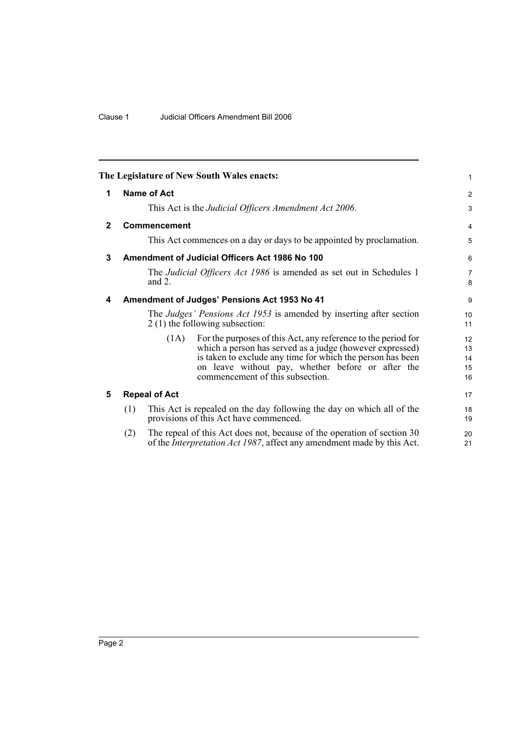<span id="page-9-4"></span><span id="page-9-3"></span><span id="page-9-2"></span><span id="page-9-1"></span><span id="page-9-0"></span>

|     |           |                                                                                                                                                                                                                                                                                  | 1                                                                                                                                                                                                                                                                                                                                                                                                                                                                                                                                                                                                                                                                                                                                             |
|-----|-----------|----------------------------------------------------------------------------------------------------------------------------------------------------------------------------------------------------------------------------------------------------------------------------------|-----------------------------------------------------------------------------------------------------------------------------------------------------------------------------------------------------------------------------------------------------------------------------------------------------------------------------------------------------------------------------------------------------------------------------------------------------------------------------------------------------------------------------------------------------------------------------------------------------------------------------------------------------------------------------------------------------------------------------------------------|
|     |           |                                                                                                                                                                                                                                                                                  | $\overline{c}$                                                                                                                                                                                                                                                                                                                                                                                                                                                                                                                                                                                                                                                                                                                                |
|     |           |                                                                                                                                                                                                                                                                                  | 3                                                                                                                                                                                                                                                                                                                                                                                                                                                                                                                                                                                                                                                                                                                                             |
|     |           |                                                                                                                                                                                                                                                                                  | 4                                                                                                                                                                                                                                                                                                                                                                                                                                                                                                                                                                                                                                                                                                                                             |
|     |           |                                                                                                                                                                                                                                                                                  | 5                                                                                                                                                                                                                                                                                                                                                                                                                                                                                                                                                                                                                                                                                                                                             |
|     |           |                                                                                                                                                                                                                                                                                  | 6                                                                                                                                                                                                                                                                                                                                                                                                                                                                                                                                                                                                                                                                                                                                             |
|     | and $2$ . |                                                                                                                                                                                                                                                                                  | 7<br>8                                                                                                                                                                                                                                                                                                                                                                                                                                                                                                                                                                                                                                                                                                                                        |
|     |           |                                                                                                                                                                                                                                                                                  | 9                                                                                                                                                                                                                                                                                                                                                                                                                                                                                                                                                                                                                                                                                                                                             |
|     |           |                                                                                                                                                                                                                                                                                  | 10<br>11                                                                                                                                                                                                                                                                                                                                                                                                                                                                                                                                                                                                                                                                                                                                      |
|     | (1A)      | For the purposes of this Act, any reference to the period for<br>which a person has served as a judge (however expressed)<br>is taken to exclude any time for which the person has been<br>on leave without pay, whether before or after the<br>commencement of this subsection. | 12<br>13<br>14<br>15<br>16                                                                                                                                                                                                                                                                                                                                                                                                                                                                                                                                                                                                                                                                                                                    |
|     |           |                                                                                                                                                                                                                                                                                  | 17                                                                                                                                                                                                                                                                                                                                                                                                                                                                                                                                                                                                                                                                                                                                            |
| (1) |           |                                                                                                                                                                                                                                                                                  | 18<br>19                                                                                                                                                                                                                                                                                                                                                                                                                                                                                                                                                                                                                                                                                                                                      |
| (2) |           |                                                                                                                                                                                                                                                                                  | 20<br>21                                                                                                                                                                                                                                                                                                                                                                                                                                                                                                                                                                                                                                                                                                                                      |
|     |           | <b>Name of Act</b><br>Commencement<br><b>Repeal of Act</b>                                                                                                                                                                                                                       | The Legislature of New South Wales enacts:<br>This Act is the Judicial Officers Amendment Act 2006.<br>This Act commences on a day or days to be appointed by proclamation.<br>Amendment of Judicial Officers Act 1986 No 100<br>The Judicial Officers Act 1986 is amended as set out in Schedules 1<br>Amendment of Judges' Pensions Act 1953 No 41<br>The Judges' Pensions Act 1953 is amended by inserting after section<br>2(1) the following subsection:<br>This Act is repealed on the day following the day on which all of the<br>provisions of this Act have commenced.<br>The repeal of this Act does not, because of the operation of section 30<br>of the <i>Interpretation Act 1987</i> , affect any amendment made by this Act. |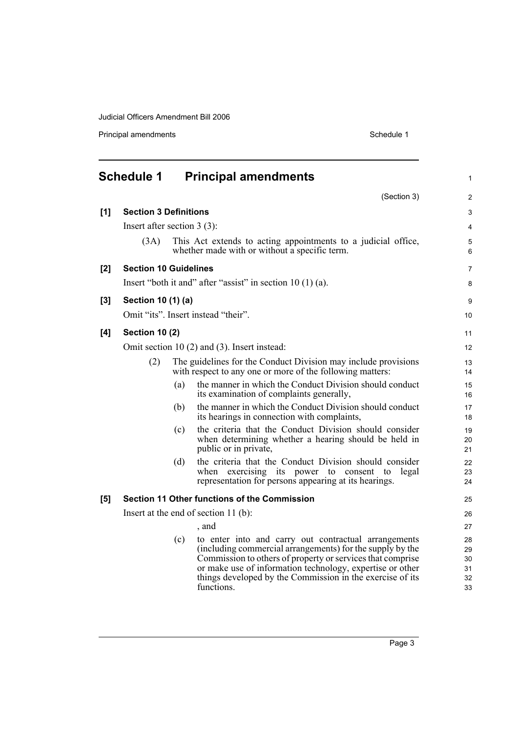<span id="page-10-0"></span>

|       | <b>Schedule 1</b>             |     | <b>Principal amendments</b>                                                                                                                                                                                                                                                                                             | 1                                |
|-------|-------------------------------|-----|-------------------------------------------------------------------------------------------------------------------------------------------------------------------------------------------------------------------------------------------------------------------------------------------------------------------------|----------------------------------|
|       |                               |     | (Section 3)                                                                                                                                                                                                                                                                                                             | $\overline{c}$                   |
| [1]   | <b>Section 3 Definitions</b>  |     |                                                                                                                                                                                                                                                                                                                         | 3                                |
|       | Insert after section $3(3)$ : |     |                                                                                                                                                                                                                                                                                                                         | 4                                |
|       | (3A)                          |     | This Act extends to acting appointments to a judicial office,<br>whether made with or without a specific term.                                                                                                                                                                                                          | 5<br>6                           |
| [2]   | <b>Section 10 Guidelines</b>  |     |                                                                                                                                                                                                                                                                                                                         | 7                                |
|       |                               |     | Insert "both it and" after "assist" in section $10(1)(a)$ .                                                                                                                                                                                                                                                             | 8                                |
| $[3]$ | Section 10 (1) (a)            |     |                                                                                                                                                                                                                                                                                                                         | 9                                |
|       |                               |     | Omit "its". Insert instead "their".                                                                                                                                                                                                                                                                                     | 10                               |
| [4]   | <b>Section 10 (2)</b>         |     |                                                                                                                                                                                                                                                                                                                         | 11                               |
|       |                               |     | Omit section $10(2)$ and $(3)$ . Insert instead:                                                                                                                                                                                                                                                                        | 12                               |
|       | (2)                           |     | The guidelines for the Conduct Division may include provisions<br>with respect to any one or more of the following matters:                                                                                                                                                                                             | 13<br>14                         |
|       |                               | (a) | the manner in which the Conduct Division should conduct<br>its examination of complaints generally,                                                                                                                                                                                                                     | 15<br>16                         |
|       |                               | (b) | the manner in which the Conduct Division should conduct<br>its hearings in connection with complaints,                                                                                                                                                                                                                  | 17<br>18                         |
|       |                               | (c) | the criteria that the Conduct Division should consider<br>when determining whether a hearing should be held in<br>public or in private,                                                                                                                                                                                 | 19<br>20<br>21                   |
|       |                               | (d) | the criteria that the Conduct Division should consider<br>exercising its power to consent to<br>when<br>legal<br>representation for persons appearing at its hearings.                                                                                                                                                  | 22<br>23<br>24                   |
| [5]   |                               |     | Section 11 Other functions of the Commission                                                                                                                                                                                                                                                                            | 25                               |
|       |                               |     | Insert at the end of section $11$ (b):                                                                                                                                                                                                                                                                                  | 26                               |
|       |                               |     | , and                                                                                                                                                                                                                                                                                                                   | 27                               |
|       |                               | (c) | to enter into and carry out contractual arrangements<br>(including commercial arrangements) for the supply by the<br>Commission to others of property or services that comprise<br>or make use of information technology, expertise or other<br>things developed by the Commission in the exercise of its<br>functions. | 28<br>29<br>30<br>31<br>32<br>33 |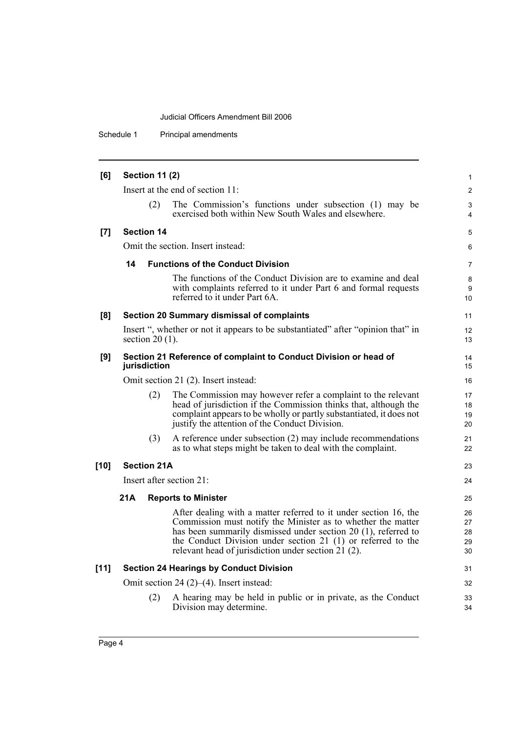Schedule 1 Principal amendments

| [6]    | <b>Section 11 (2)</b> |                    | $\mathbf{1}$                                                                                                                                                                                                                                                                                                              |                            |
|--------|-----------------------|--------------------|---------------------------------------------------------------------------------------------------------------------------------------------------------------------------------------------------------------------------------------------------------------------------------------------------------------------------|----------------------------|
|        |                       |                    | Insert at the end of section 11:                                                                                                                                                                                                                                                                                          | 2                          |
|        |                       | (2)                | The Commission's functions under subsection (1) may be<br>exercised both within New South Wales and elsewhere.                                                                                                                                                                                                            | 3<br>$\overline{4}$        |
| [7]    |                       | <b>Section 14</b>  |                                                                                                                                                                                                                                                                                                                           | 5                          |
|        |                       |                    | Omit the section. Insert instead:                                                                                                                                                                                                                                                                                         | 6                          |
|        | 14                    |                    | <b>Functions of the Conduct Division</b>                                                                                                                                                                                                                                                                                  | $\overline{7}$             |
|        |                       |                    | The functions of the Conduct Division are to examine and deal<br>with complaints referred to it under Part 6 and formal requests<br>referred to it under Part 6A.                                                                                                                                                         | 8<br>9<br>10               |
| [8]    |                       |                    | Section 20 Summary dismissal of complaints                                                                                                                                                                                                                                                                                | 11                         |
|        |                       | section $20(1)$ .  | Insert ", whether or not it appears to be substantiated" after "opinion that" in                                                                                                                                                                                                                                          | 12<br>13                   |
| [9]    |                       | jurisdiction       | Section 21 Reference of complaint to Conduct Division or head of                                                                                                                                                                                                                                                          | 14<br>15                   |
|        |                       |                    | Omit section 21 (2). Insert instead:                                                                                                                                                                                                                                                                                      | 16                         |
|        |                       | (2)                | The Commission may however refer a complaint to the relevant<br>head of jurisdiction if the Commission thinks that, although the<br>complaint appears to be wholly or partly substantiated, it does not<br>justify the attention of the Conduct Division.                                                                 | 17<br>18<br>19<br>20       |
|        |                       | (3)                | A reference under subsection (2) may include recommendations<br>as to what steps might be taken to deal with the complaint.                                                                                                                                                                                               | 21<br>22                   |
| $[10]$ |                       | <b>Section 21A</b> |                                                                                                                                                                                                                                                                                                                           | 23                         |
|        |                       |                    | Insert after section 21:                                                                                                                                                                                                                                                                                                  | 24                         |
|        | 21A                   |                    | <b>Reports to Minister</b>                                                                                                                                                                                                                                                                                                | 25                         |
|        |                       |                    | After dealing with a matter referred to it under section 16, the<br>Commission must notify the Minister as to whether the matter<br>has been summarily dismissed under section 20 (1), referred to<br>the Conduct Division under section 21 (1) or referred to the<br>relevant head of jurisdiction under section 21 (2). | 26<br>27<br>28<br>29<br>30 |
| $[11]$ |                       |                    | <b>Section 24 Hearings by Conduct Division</b>                                                                                                                                                                                                                                                                            | 31                         |
|        |                       |                    | Omit section 24 $(2)$ – $(4)$ . Insert instead:                                                                                                                                                                                                                                                                           | 32                         |
|        |                       | (2)                | A hearing may be held in public or in private, as the Conduct<br>Division may determine.                                                                                                                                                                                                                                  | 33<br>34                   |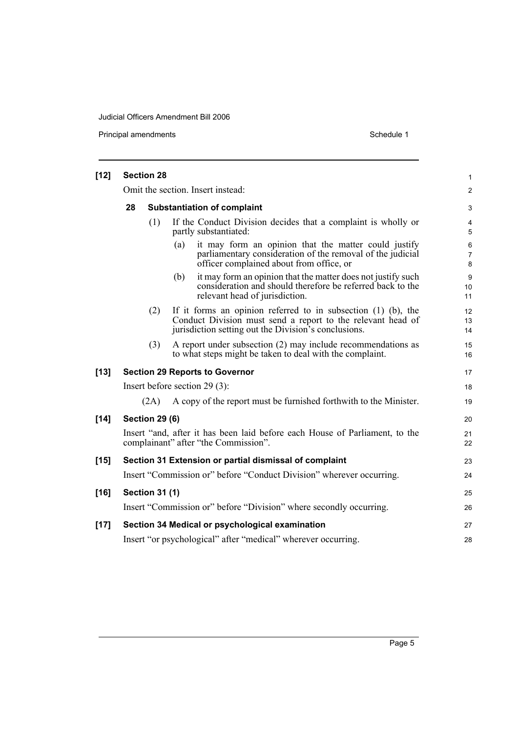| $[12]$ | <b>Section 28</b> |                       | 1                                                                                                                                                                                         |                |
|--------|-------------------|-----------------------|-------------------------------------------------------------------------------------------------------------------------------------------------------------------------------------------|----------------|
|        |                   |                       | Omit the section. Insert instead:                                                                                                                                                         | $\overline{c}$ |
|        | 28                |                       | <b>Substantiation of complaint</b>                                                                                                                                                        | 3              |
|        |                   | (1)                   | If the Conduct Division decides that a complaint is wholly or<br>partly substantiated:                                                                                                    | 4<br>5         |
|        |                   |                       | it may form an opinion that the matter could justify<br>(a)<br>parliamentary consideration of the removal of the judicial<br>officer complained about from office, or                     | 6<br>7<br>8    |
|        |                   |                       | it may form an opinion that the matter does not justify such<br>(b)<br>consideration and should therefore be referred back to the<br>relevant head of jurisdiction.                       | 9<br>10<br>11  |
|        |                   | (2)                   | If it forms an opinion referred to in subsection $(1)$ $(b)$ , the<br>Conduct Division must send a report to the relevant head of<br>jurisdiction setting out the Division's conclusions. | 12<br>13<br>14 |
|        |                   | (3)                   | A report under subsection (2) may include recommendations as<br>to what steps might be taken to deal with the complaint.                                                                  | 15<br>16       |
| $[13]$ |                   |                       | <b>Section 29 Reports to Governor</b>                                                                                                                                                     | 17             |
|        |                   |                       | Insert before section $29(3)$ :                                                                                                                                                           | 18             |
|        |                   | (2A)                  | A copy of the report must be furnished forthwith to the Minister.                                                                                                                         | 19             |
| $[14]$ |                   | <b>Section 29 (6)</b> |                                                                                                                                                                                           | 20             |
|        |                   |                       | Insert "and, after it has been laid before each House of Parliament, to the<br>complainant" after "the Commission".                                                                       | 21<br>22       |
| $[15]$ |                   |                       | Section 31 Extension or partial dismissal of complaint                                                                                                                                    | 23             |
|        |                   |                       | Insert "Commission or" before "Conduct Division" wherever occurring.                                                                                                                      | 24             |
| $[16]$ |                   | <b>Section 31 (1)</b> |                                                                                                                                                                                           | 25             |
|        |                   |                       | Insert "Commission or" before "Division" where secondly occurring.                                                                                                                        | 26             |
| $[17]$ |                   |                       | Section 34 Medical or psychological examination                                                                                                                                           | 27             |
|        |                   |                       | Insert "or psychological" after "medical" wherever occurring.                                                                                                                             | 28             |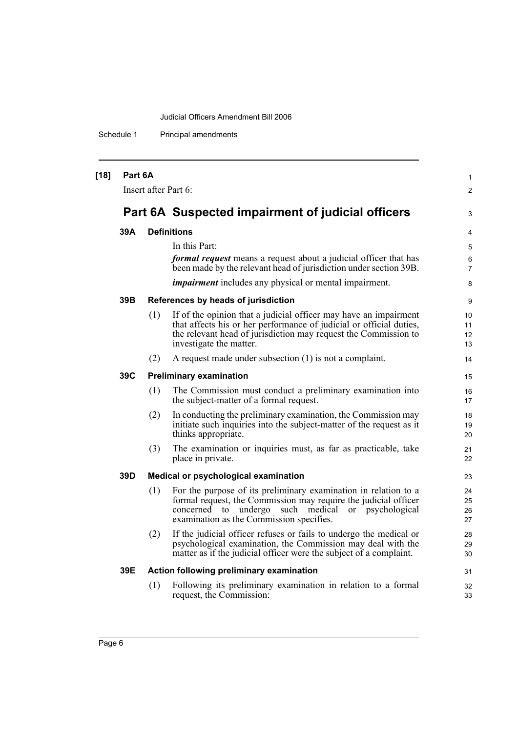Schedule 1 Principal amendments

| $[18]$ | Part 6A | Insert after Part 6: |                                                                                                                                                                                                                                            | $\mathbf{1}$<br>2        |
|--------|---------|----------------------|--------------------------------------------------------------------------------------------------------------------------------------------------------------------------------------------------------------------------------------------|--------------------------|
|        |         |                      | Part 6A Suspected impairment of judicial officers                                                                                                                                                                                          | 3                        |
|        |         |                      |                                                                                                                                                                                                                                            |                          |
|        | 39A     |                      | <b>Definitions</b>                                                                                                                                                                                                                         | 4                        |
|        |         |                      | In this Part:<br><i>formal request</i> means a request about a judicial officer that has<br>been made by the relevant head of jurisdiction under section 39B.                                                                              | 5<br>6<br>$\overline{7}$ |
|        |         |                      | <i>impairment</i> includes any physical or mental impairment.                                                                                                                                                                              | 8                        |
|        | 39B     |                      | References by heads of jurisdiction                                                                                                                                                                                                        | 9                        |
|        |         | (1)                  | If of the opinion that a judicial officer may have an impairment<br>that affects his or her performance of judicial or official duties,<br>the relevant head of jurisdiction may request the Commission to<br>investigate the matter.      | 10<br>11<br>12<br>13     |
|        |         | (2)                  | A request made under subsection $(1)$ is not a complaint.                                                                                                                                                                                  | 14                       |
|        | 39C     |                      | <b>Preliminary examination</b>                                                                                                                                                                                                             | 15                       |
|        |         | (1)                  | The Commission must conduct a preliminary examination into<br>the subject-matter of a formal request.                                                                                                                                      | 16<br>17                 |
|        |         | (2)                  | In conducting the preliminary examination, the Commission may<br>initiate such inquiries into the subject-matter of the request as it<br>thinks appropriate.                                                                               | 18<br>19<br>20           |
|        |         | (3)                  | The examination or inquiries must, as far as practicable, take<br>place in private.                                                                                                                                                        | 21<br>22                 |
|        | 39D     |                      | Medical or psychological examination                                                                                                                                                                                                       | 23                       |
|        |         | (1)                  | For the purpose of its preliminary examination in relation to a<br>formal request, the Commission may require the judicial officer<br>undergo<br>such medical or psychological<br>concerned to<br>examination as the Commission specifies. | 24<br>25<br>26<br>27     |
|        |         | (2)                  | If the judicial officer refuses or fails to undergo the medical or<br>psychological examination, the Commission may deal with the<br>matter as if the judicial officer were the subject of a complaint.                                    | 28<br>29<br>30           |
|        | 39E     |                      | Action following preliminary examination                                                                                                                                                                                                   | 31                       |
|        |         | (1)                  | Following its preliminary examination in relation to a formal<br>request, the Commission:                                                                                                                                                  | 32<br>33                 |
|        |         |                      |                                                                                                                                                                                                                                            |                          |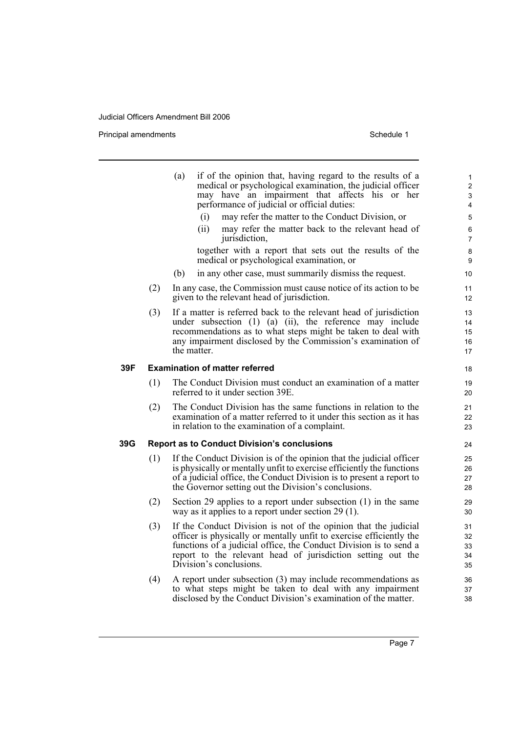|     |     | if of the opinion that, having regard to the results of a<br>(a)<br>medical or psychological examination, the judicial officer<br>may have an impairment that affects his or her<br>performance of judicial or official duties:<br>(i)<br>may refer the matter to the Conduct Division, or            | 1<br>$\overline{c}$<br>3<br>4<br>5 |
|-----|-----|-------------------------------------------------------------------------------------------------------------------------------------------------------------------------------------------------------------------------------------------------------------------------------------------------------|------------------------------------|
|     |     | (ii)<br>may refer the matter back to the relevant head of<br>jurisdiction,                                                                                                                                                                                                                            | 6<br>$\overline{7}$                |
|     |     | together with a report that sets out the results of the<br>medical or psychological examination, or                                                                                                                                                                                                   | 8<br>9                             |
|     |     | in any other case, must summarily dismiss the request.<br>(b)                                                                                                                                                                                                                                         | 10                                 |
|     | (2) | In any case, the Commission must cause notice of its action to be<br>given to the relevant head of jurisdiction.                                                                                                                                                                                      | 11<br>12                           |
|     | (3) | If a matter is referred back to the relevant head of jurisdiction<br>under subsection (1) (a) (ii), the reference may include<br>recommendations as to what steps might be taken to deal with<br>any impairment disclosed by the Commission's examination of<br>the matter.                           | 13<br>14<br>15<br>16<br>17         |
| 39F |     | <b>Examination of matter referred</b>                                                                                                                                                                                                                                                                 | 18                                 |
|     | (1) | The Conduct Division must conduct an examination of a matter<br>referred to it under section 39E.                                                                                                                                                                                                     | 19<br>20                           |
|     | (2) | The Conduct Division has the same functions in relation to the<br>examination of a matter referred to it under this section as it has<br>in relation to the examination of a complaint.                                                                                                               | 21<br>22<br>23                     |
| 39G |     | <b>Report as to Conduct Division's conclusions</b>                                                                                                                                                                                                                                                    | 24                                 |
|     | (1) | If the Conduct Division is of the opinion that the judicial officer<br>is physically or mentally unfit to exercise efficiently the functions<br>of a judicial office, the Conduct Division is to present a report to<br>the Governor setting out the Division's conclusions.                          | 25<br>26<br>27<br>28               |
|     | (2) | Section 29 applies to a report under subsection (1) in the same<br>way as it applies to a report under section $29(1)$ .                                                                                                                                                                              | 29<br>30                           |
|     | (3) | If the Conduct Division is not of the opinion that the judicial<br>officer is physically or mentally unfit to exercise efficiently the<br>functions of a judicial office, the Conduct Division is to send a<br>report to the relevant head of jurisdiction setting out the<br>Division's conclusions. | 31<br>32<br>33<br>34<br>35         |
|     | (4) | A report under subsection (3) may include recommendations as<br>to what steps might be taken to deal with any impairment<br>disclosed by the Conduct Division's examination of the matter.                                                                                                            | 36<br>37<br>38                     |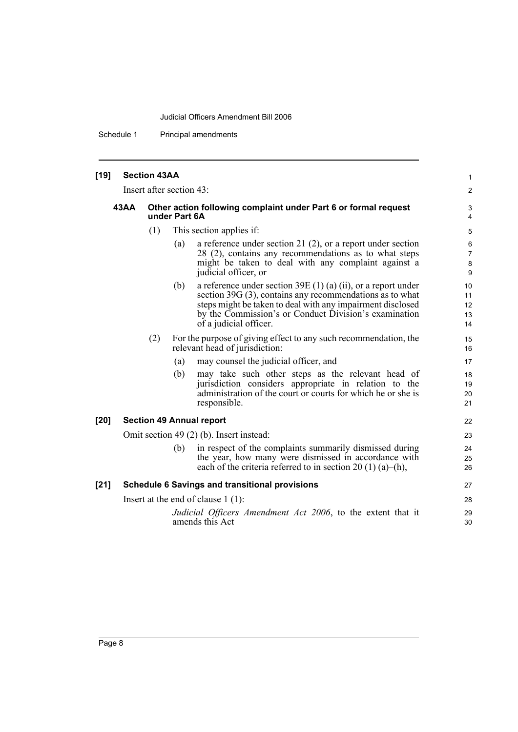Schedule 1 Principal amendments

## **[19] Section 43AA** Insert after section 43:

#### **43AA Other action following complaint under Part 6 or formal request under Part 6A**

- (1) This section applies if:
	- (a) a reference under section 21 (2), or a report under section 28 (2), contains any recommendations as to what steps might be taken to deal with any complaint against a judicial officer, or

1 2

- (b) a reference under section 39E (1) (a) (ii), or a report under section 39G (3), contains any recommendations as to what steps might be taken to deal with any impairment disclosed by the Commission's or Conduct Division's examination of a judicial officer.
- (2) For the purpose of giving effect to any such recommendation, the relevant head of jurisdiction:
	- (a) may counsel the judicial officer, and
	- (b) may take such other steps as the relevant head of jurisdiction considers appropriate in relation to the administration of the court or courts for which he or she is responsible.

#### **[20] Section 49 Annual report**

Omit section 49 (2) (b). Insert instead:

(b) in respect of the complaints summarily dismissed during the year, how many were dismissed in accordance with each of the criteria referred to in section 20 (1) (a)–(h),

#### **[21] Schedule 6 Savings and transitional provisions**

Insert at the end of clause 1 (1):

*Judicial Officers Amendment Act 2006*, to the extent that it amends this Act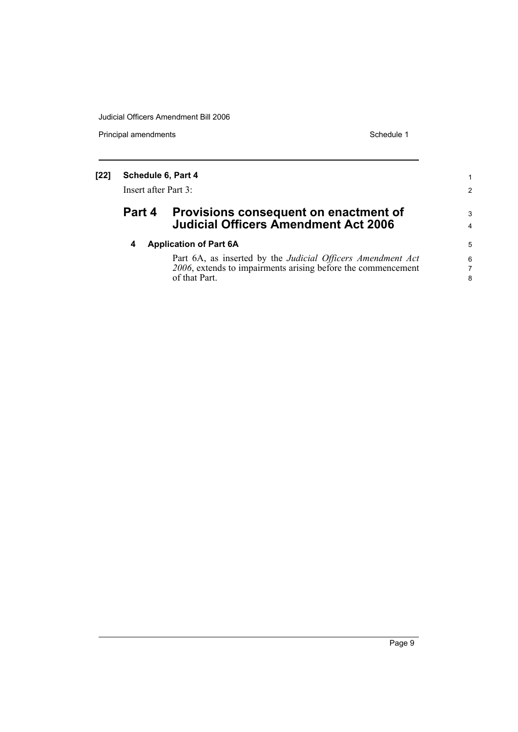| $[22]$ | Schedule 6, Part 4<br>Insert after Part 3: |                                                                                      | 2      |
|--------|--------------------------------------------|--------------------------------------------------------------------------------------|--------|
|        | Part 4                                     | Provisions consequent on enactment of<br><b>Judicial Officers Amendment Act 2006</b> | 3<br>4 |
|        | 4                                          | <b>Application of Part 6A</b>                                                        | 5      |
|        |                                            | Part 6A, as inserted by the Judicial Officers Amendment Act                          | 6      |
|        |                                            | 2006, extends to impairments arising before the commencement                         | 7      |
|        |                                            | of that Part.                                                                        | 8      |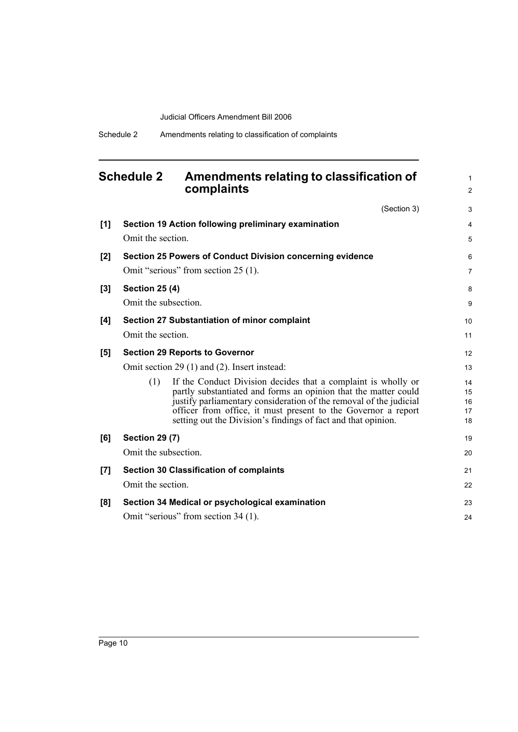<span id="page-17-0"></span>

| <b>Schedule 2</b> |                                               | Amendments relating to classification of<br>complaints                                                                                                                                                                                                                                                                                   | 1<br>2                     |
|-------------------|-----------------------------------------------|------------------------------------------------------------------------------------------------------------------------------------------------------------------------------------------------------------------------------------------------------------------------------------------------------------------------------------------|----------------------------|
|                   |                                               | (Section 3)                                                                                                                                                                                                                                                                                                                              | 3                          |
| [1]               | Omit the section.                             | Section 19 Action following preliminary examination                                                                                                                                                                                                                                                                                      | 4<br>5                     |
| [2]               |                                               | <b>Section 25 Powers of Conduct Division concerning evidence</b>                                                                                                                                                                                                                                                                         | 6                          |
|                   |                                               | Omit "serious" from section 25 (1).                                                                                                                                                                                                                                                                                                      | $\overline{7}$             |
| [3]               | <b>Section 25 (4)</b><br>Omit the subsection. |                                                                                                                                                                                                                                                                                                                                          | 8<br>9                     |
| [4]               |                                               | <b>Section 27 Substantiation of minor complaint</b>                                                                                                                                                                                                                                                                                      | 10                         |
|                   | Omit the section.                             |                                                                                                                                                                                                                                                                                                                                          | 11                         |
| [5]               |                                               | <b>Section 29 Reports to Governor</b>                                                                                                                                                                                                                                                                                                    | 12                         |
|                   |                                               | Omit section 29 (1) and (2). Insert instead:                                                                                                                                                                                                                                                                                             | 13                         |
|                   | (1)                                           | If the Conduct Division decides that a complaint is wholly or<br>partly substantiated and forms an opinion that the matter could<br>justify parliamentary consideration of the removal of the judicial<br>officer from office, it must present to the Governor a report<br>setting out the Division's findings of fact and that opinion. | 14<br>15<br>16<br>17<br>18 |
| [6]               | <b>Section 29 (7)</b>                         |                                                                                                                                                                                                                                                                                                                                          | 19                         |
|                   | Omit the subsection.                          |                                                                                                                                                                                                                                                                                                                                          | 20                         |
| [7]               |                                               | <b>Section 30 Classification of complaints</b>                                                                                                                                                                                                                                                                                           | 21                         |
|                   | Omit the section.                             |                                                                                                                                                                                                                                                                                                                                          | 22                         |
| [8]               |                                               | Section 34 Medical or psychological examination                                                                                                                                                                                                                                                                                          | 23                         |
|                   |                                               | Omit "serious" from section 34 (1).                                                                                                                                                                                                                                                                                                      | 24                         |